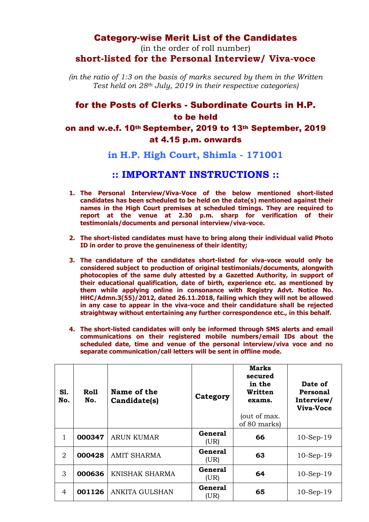## Category-wise Merit List of the Candidates

(in the order of roll number) **short-listed for the Personal Interview/ Viva-voce** 

*(in the ratio of 1:3 on the basis of marks secured by them in the Written Test held on 28th July, 2019 in their respective categories)*

## for the Posts of Clerks - Subordinate Courts in H.P. to be held on and w.e.f. 10th September, 2019 to 13th September, 2019 at 4.15 p.m. onwards

**in H.P. High Court, Shimla - 171001**

## **:: IMPORTANT INSTRUCTIONS ::**

- **1. The Personal Interview/Viva-Voce of the below mentioned short-listed candidates has been scheduled to be held on the date(s) mentioned against their names in the High Court premises at scheduled timings. They are required to report at the venue at 2.30 p.m. sharp for verification of their testimonials/documents and personal interview/viva-voce.**
- **2. The short-listed candidates must have to bring along their individual valid Photo ID in order to prove the genuineness of their identity;**
- **3. The candidature of the candidates short-listed for viva-voce would only be considered subject to production of original testimonials/documents, alongwith photocopies of the same duly attested by a Gazetted Authority, in support of their educational qualification, date of birth, experience etc. as mentioned by them while applying online in consonance with Registry Advt. Notice No. HHC/Admn.3(55)/2012, dated 26.11.2018, failing which they will not be allowed in any case to appear in the viva-voce and their candidature shall be rejected straightway without entertaining any further correspondence etc., in this behalf.**
- **4. The short-listed candidates will only be informed through SMS alerts and email communications on their registered mobile numbers/email IDs about the scheduled date, time and venue of the personal interview/viva voce and no separate communication/call letters will be sent in offline mode.**

| <b>S1.</b><br>No. | Roll<br>No. | Name of the<br>Candidate(s) | Category               | <b>Marks</b><br>secured<br>in the<br>Written<br>exams.<br>(out of max.<br>of 80 marks) | Date of<br>Personal<br>Interview/<br>Viva-Voce |
|-------------------|-------------|-----------------------------|------------------------|----------------------------------------------------------------------------------------|------------------------------------------------|
| 1                 | 000347      | <b>ARUN KUMAR</b>           | <b>General</b><br>(UR) | 66                                                                                     | $10-Sep-19$                                    |
| 2                 | 000428      | <b>AMIT SHARMA</b>          | General<br>(UR)        | 63                                                                                     | $10-Sep-19$                                    |
| 3                 | 000636      | KNISHAK SHARMA              | <b>General</b><br>(UR) | 64                                                                                     | $10-Sep-19$                                    |
| $\overline{4}$    | 001126      | <b>ANKITA GULSHAN</b>       | General<br>(UR)        | 65                                                                                     | $10-Sep-19$                                    |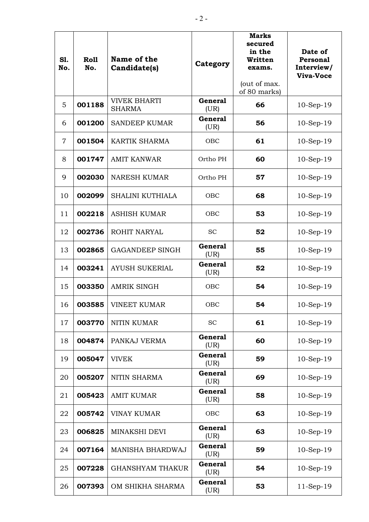| S1.<br>No.     | <b>Roll</b><br>No. | Name of the<br>Candidate(s)          | Category               | <b>Marks</b><br>secured<br>in the<br>Written<br>exams.<br>(out of max.<br>of 80 marks) | Date of<br>Personal<br>Interview/<br><b>Viva-Voce</b> |
|----------------|--------------------|--------------------------------------|------------------------|----------------------------------------------------------------------------------------|-------------------------------------------------------|
| 5              | 001188             | <b>VIVEK BHARTI</b><br><b>SHARMA</b> | <b>General</b><br>(UR) | 66                                                                                     | $10-Sep-19$                                           |
| 6              | 001200             | <b>SANDEEP KUMAR</b>                 | <b>General</b><br>(UR) | 56                                                                                     | $10-Sep-19$                                           |
| $\overline{7}$ | 001504             | <b>KARTIK SHARMA</b>                 | OBC                    | 61                                                                                     | $10-Sep-19$                                           |
| 8              | 001747             | <b>AMIT KANWAR</b>                   | Ortho PH               | 60                                                                                     | $10-Sep-19$                                           |
| 9              | 002030             | <b>NARESH KUMAR</b>                  | Ortho PH               | 57                                                                                     | $10-Sep-19$                                           |
| 10             | 002099             | <b>SHALINI KUTHIALA</b>              | <b>OBC</b>             | 68                                                                                     | $10-Sep-19$                                           |
| 11             | 002218             | <b>ASHISH KUMAR</b>                  | <b>OBC</b>             | 53                                                                                     | $10-Sep-19$                                           |
| 12             | 002736             | <b>ROHIT NARYAL</b>                  | <b>SC</b>              | 52                                                                                     | $10-Sep-19$                                           |
| 13             | 002865             | <b>GAGANDEEP SINGH</b>               | <b>General</b><br>(UR) | 55                                                                                     | $10-Sep-19$                                           |
| 14             | 003241             | <b>AYUSH SUKERIAL</b>                | <b>General</b><br>(UR) | 52                                                                                     | $10-Sep-19$                                           |
| 15             | 003350             | <b>AMRIK SINGH</b>                   | <b>OBC</b>             | 54                                                                                     | $10-Sep-19$                                           |
| 16             | 003585             | <b>VINEET KUMAR</b>                  | OBC                    | 54                                                                                     | $10-Sep-19$                                           |
| 17             | 003770             | <b>NITIN KUMAR</b>                   | <b>SC</b>              | 61                                                                                     | $10-Sep-19$                                           |
| 18             | 004874             | PANKAJ VERMA                         | <b>General</b><br>(UR) | 60                                                                                     | $10-Sep-19$                                           |
| 19             | 005047             | <b>VIVEK</b>                         | <b>General</b><br>(UR) | 59                                                                                     | $10-Sep-19$                                           |
| 20             | 005207             | NITIN SHARMA                         | <b>General</b><br>(UR) | 69                                                                                     | $10-Sep-19$                                           |
| 21             | 005423             | <b>AMIT KUMAR</b>                    | <b>General</b><br>(UR) | 58                                                                                     | $10-Sep-19$                                           |
| 22             | 005742             | <b>VINAY KUMAR</b>                   | OBC                    | 63                                                                                     | $10-Sep-19$                                           |
| 23             | 006825             | MINAKSHI DEVI                        | <b>General</b><br>(UR) | 63                                                                                     | $10-Sep-19$                                           |
| 24             | 007164             | MANISHA BHARDWAJ                     | <b>General</b><br>(UR) | 59                                                                                     | $10-Sep-19$                                           |
| 25             | 007228             | <b>GHANSHYAM THAKUR</b>              | <b>General</b><br>(UR) | 54                                                                                     | $10-Sep-19$                                           |
| 26             | 007393             | OM SHIKHA SHARMA                     | <b>General</b><br>(UR) | 53                                                                                     | $11-Sep-19$                                           |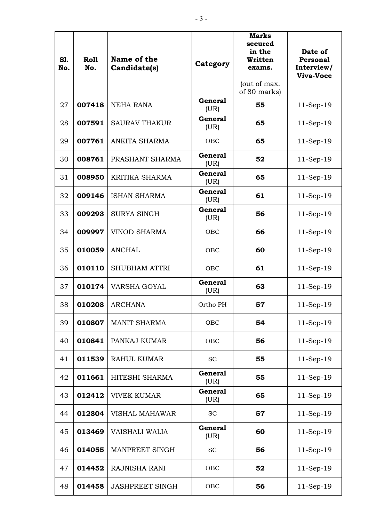| S1.<br>No. | Roll<br>No. | Name of the<br>Candidate(s) | Category               | <b>Marks</b><br>secured<br>in the<br>Written<br>exams.<br>(out of max.<br>of 80 marks) | Date of<br>Personal<br>Interview/<br><b>Viva-Voce</b> |
|------------|-------------|-----------------------------|------------------------|----------------------------------------------------------------------------------------|-------------------------------------------------------|
| 27         | 007418      | <b>NEHA RANA</b>            | <b>General</b><br>(UR) | 55                                                                                     | $11-Sep-19$                                           |
| 28         | 007591      | <b>SAURAV THAKUR</b>        | <b>General</b><br>(UR) | 65                                                                                     | $11-Sep-19$                                           |
| 29         | 007761      | ANKITA SHARMA               | OBC                    | 65                                                                                     | $11-Sep-19$                                           |
| 30         | 008761      | PRASHANT SHARMA             | <b>General</b><br>(UR) | 52                                                                                     | $11-Sep-19$                                           |
| 31         | 008950      | <b>KRITIKA SHARMA</b>       | <b>General</b><br>(UR) | 65                                                                                     | $11-Sep-19$                                           |
| 32         | 009146      | <b>ISHAN SHARMA</b>         | <b>General</b><br>(UR) | 61                                                                                     | $11-Sep-19$                                           |
| 33         | 009293      | <b>SURYA SINGH</b>          | <b>General</b><br>(UR) | 56                                                                                     | $11-Sep-19$                                           |
| 34         | 009997      | <b>VINOD SHARMA</b>         | OBC                    | 66                                                                                     | $11-Sep-19$                                           |
| 35         | 010059      | <b>ANCHAL</b>               | <b>OBC</b>             | 60                                                                                     | $11-Sep-19$                                           |
| 36         | 010110      | <b>SHUBHAM ATTRI</b>        | OBC                    | 61                                                                                     | $11-Sep-19$                                           |
| 37         | 010174      | VARSHA GOYAL                | <b>General</b><br>(UR) | 63                                                                                     | $11-Sep-19$                                           |
| 38         | 010208      | <b>ARCHANA</b>              | Ortho PH               | 57                                                                                     | $11-Sep-19$                                           |
| 39         | 010807      | <b>MANIT SHARMA</b>         | OBC                    | 54                                                                                     | $11-Sep-19$                                           |
| 40         | 010841      | PANKAJ KUMAR                | OBC                    | 56                                                                                     | $11-Sep-19$                                           |
| 41         | 011539      | <b>RAHUL KUMAR</b>          | <b>SC</b>              | 55                                                                                     | $11-Sep-19$                                           |
| 42         | 011661      | HITESHI SHARMA              | <b>General</b><br>(UR) | 55                                                                                     | 11-Sep-19                                             |
| 43         | 012412      | <b>VIVEK KUMAR</b>          | <b>General</b><br>(UR) | 65                                                                                     | $11-Sep-19$                                           |
| 44         | 012804      | <b>VISHAL MAHAWAR</b>       | <b>SC</b>              | 57                                                                                     | $11-Sep-19$                                           |
| 45         | 013469      | VAISHALI WALIA              | <b>General</b><br>(UR) | 60                                                                                     | $11-Sep-19$                                           |
| 46         | 014055      | MANPREET SINGH              | <b>SC</b>              | 56                                                                                     | $11-Sep-19$                                           |
| 47         | 014452      | RAJNISHA RANI               | OBC                    | 52                                                                                     | $11-Sep-19$                                           |
| 48         | 014458      | <b>JASHPREET SINGH</b>      | OBC                    | 56                                                                                     | $11-Sep-19$                                           |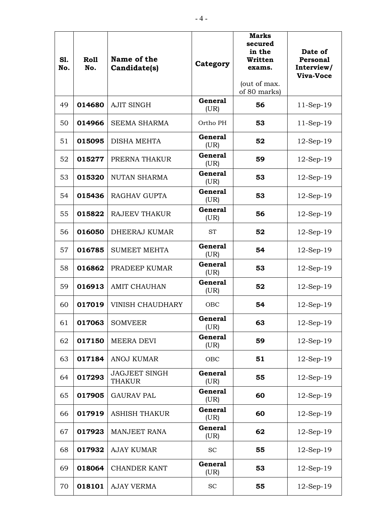| S1.<br>No. | Roll<br>No. | Name of the<br>Candidate(s)           | Category               | <b>Marks</b><br>secured<br>in the<br>Written<br>exams.<br>(out of max.<br>of 80 marks) | Date of<br>Personal<br>Interview/<br>Viva-Voce |
|------------|-------------|---------------------------------------|------------------------|----------------------------------------------------------------------------------------|------------------------------------------------|
| 49         | 014680      | <b>AJIT SINGH</b>                     | <b>General</b><br>(UR) | 56                                                                                     | $11-Sep-19$                                    |
| 50         | 014966      | <b>SEEMA SHARMA</b>                   | Ortho PH               | 53                                                                                     | $11-Sep-19$                                    |
| 51         | 015095      | <b>DISHA MEHTA</b>                    | <b>General</b><br>(UR) | 52                                                                                     | $12-Sep-19$                                    |
| 52         | 015277      | PRERNA THAKUR                         | <b>General</b><br>(UR) | 59                                                                                     | $12$ -Sep-19                                   |
| 53         | 015320      | <b>NUTAN SHARMA</b>                   | <b>General</b><br>(UR) | 53                                                                                     | $12-Sep-19$                                    |
| 54         | 015436      | <b>RAGHAV GUPTA</b>                   | <b>General</b><br>(UR) | 53                                                                                     | $12-Sep-19$                                    |
| 55         | 015822      | <b>RAJEEV THAKUR</b>                  | <b>General</b><br>(UR) | 56                                                                                     | $12$ -Sep-19                                   |
| 56         | 016050      | <b>DHEERAJ KUMAR</b>                  | <b>ST</b>              | 52                                                                                     | $12$ -Sep-19                                   |
| 57         | 016785      | <b>SUMEET MEHTA</b>                   | <b>General</b><br>(UR) | 54                                                                                     | $12$ -Sep-19                                   |
| 58         | 016862      | PRADEEP KUMAR                         | <b>General</b><br>(UR) | 53                                                                                     | $12$ -Sep-19                                   |
| 59         | 016913      | <b>AMIT CHAUHAN</b>                   | <b>General</b><br>(UR) | 52                                                                                     | $12$ -Sep-19                                   |
| 60         | 017019      | <b>VINISH CHAUDHARY</b>               | OBC                    | 54                                                                                     | $12$ -Sep-19                                   |
| 61         | 017063      | <b>SOMVEER</b>                        | <b>General</b><br>(UR) | 63                                                                                     | $12$ -Sep-19                                   |
| 62         | 017150      | <b>MEERA DEVI</b>                     | <b>General</b><br>(UR) | 59                                                                                     | 12-Sep-19                                      |
| 63         | 017184      | <b>ANOJ KUMAR</b>                     | OBC                    | 51                                                                                     | $12$ -Sep-19                                   |
| 64         | 017293      | <b>JAGJEET SINGH</b><br><b>THAKUR</b> | <b>General</b><br>(UR) | 55                                                                                     | 12-Sep-19                                      |
| 65         | 017905      | <b>GAURAV PAL</b>                     | <b>General</b><br>(UR) | 60                                                                                     | $12$ -Sep-19                                   |
| 66         | 017919      | <b>ASHISH THAKUR</b>                  | <b>General</b><br>(UR) | 60                                                                                     | $12-Sep-19$                                    |
| 67         | 017923      | <b>MANJEET RANA</b>                   | <b>General</b><br>(UR) | 62                                                                                     | $12-Sep-19$                                    |
| 68         | 017932      | <b>AJAY KUMAR</b>                     | <b>SC</b>              | 55                                                                                     | $12-Sep-19$                                    |
| 69         | 018064      | <b>CHANDER KANT</b>                   | <b>General</b><br>(UR) | 53                                                                                     | $12-Sep-19$                                    |
| 70         | 018101      | <b>AJAY VERMA</b>                     | <b>SC</b>              | 55                                                                                     | $12$ -Sep-19                                   |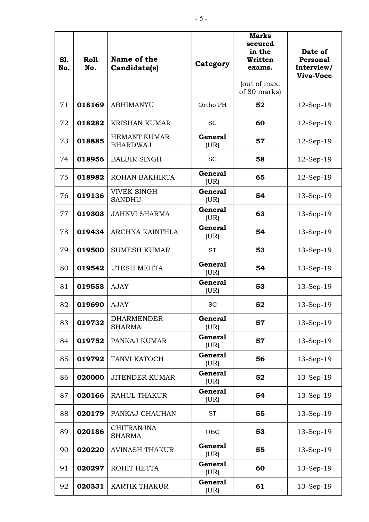| S1.<br>No. | Roll<br>No. | Name of the<br>Candidate(s)            | Category               | <b>Marks</b><br>secured<br>in the<br>Written<br>exams.<br>(out of max.<br>of 80 marks) | Date of<br>Personal<br>Interview/<br><b>Viva-Voce</b> |
|------------|-------------|----------------------------------------|------------------------|----------------------------------------------------------------------------------------|-------------------------------------------------------|
| 71         | 018169      | <b>ABHIMANYU</b>                       | Ortho PH               | 52                                                                                     | $12$ -Sep-19                                          |
| 72         | 018282      | <b>KRISHAN KUMAR</b>                   | <b>SC</b>              | 60                                                                                     | $12$ -Sep-19                                          |
| 73         | 018885      | <b>HEMANT KUMAR</b><br><b>BHARDWAJ</b> | <b>General</b><br>(UR) | 57                                                                                     | $12-Sep-19$                                           |
| 74         | 018956      | <b>BALBIR SINGH</b>                    | <b>SC</b>              | 58                                                                                     | $12$ -Sep-19                                          |
| 75         | 018982      | ROHAN BAKHIRTA                         | <b>General</b><br>(UR) | 65                                                                                     | $12-Sep-19$                                           |
| 76         | 019136      | <b>VIVEK SINGH</b><br><b>SANDHU</b>    | <b>General</b><br>(UR) | 54                                                                                     | 13-Sep-19                                             |
| 77         | 019303      | <b>JAHNVI SHARMA</b>                   | <b>General</b><br>(UR) | 63                                                                                     | $13$ -Sep- $19$                                       |
| 78         | 019434      | ARCHNA KAINTHLA                        | <b>General</b><br>(UR) | 54                                                                                     | $13-Sep-19$                                           |
| 79         | 019500      | <b>SUMESH KUMAR</b>                    | <b>ST</b>              | 53                                                                                     | $13-Sep-19$                                           |
| 80         | 019542      | UTESH MEHTA                            | <b>General</b><br>(UR) | 54                                                                                     | $13-Sep-19$                                           |
| 81         | 019558      | <b>AJAY</b>                            | <b>General</b><br>(UR) | 53                                                                                     | $13-Sep-19$                                           |
| 82         | 019690      | <b>AJAY</b>                            | <b>SC</b>              | 52                                                                                     | 13-Sep-19                                             |
| 83         | 019732      | <b>DHARMENDER</b><br><b>SHARMA</b>     | <b>General</b><br>(UR) | 57                                                                                     | 13-Sep-19                                             |
| 84         | 019752      | PANKAJ KUMAR                           | <b>General</b><br>(UR) | 57                                                                                     | 13-Sep-19                                             |
| 85         | 019792      | TANVI KATOCH                           | <b>General</b><br>(UR) | 56                                                                                     | $13$ -Sep-19                                          |
| 86         | 020000      | <b>JITENDER KUMAR</b>                  | <b>General</b><br>(UR) | 52                                                                                     | 13-Sep-19                                             |
| 87         | 020166      | <b>RAHUL THAKUR</b>                    | <b>General</b><br>(UR) | 54                                                                                     | 13-Sep-19                                             |
| 88         | 020179      | PANKAJ CHAUHAN                         | <b>ST</b>              | 55                                                                                     | 13-Sep-19                                             |
| 89         | 020186      | <b>CHITRANJNA</b><br><b>SHARMA</b>     | OBC                    | 53                                                                                     | 13-Sep-19                                             |
| 90         | 020220      | <b>AVINASH THAKUR</b>                  | <b>General</b><br>(UR) | 55                                                                                     | $13$ -Sep-19                                          |
| 91         | 020297      | ROHIT HETTA                            | <b>General</b><br>(UR) | 60                                                                                     | 13-Sep-19                                             |
| 92         | 020331      | <b>KARTIK THAKUR</b>                   | <b>General</b><br>(UR) | 61                                                                                     | $13$ -Sep-19                                          |